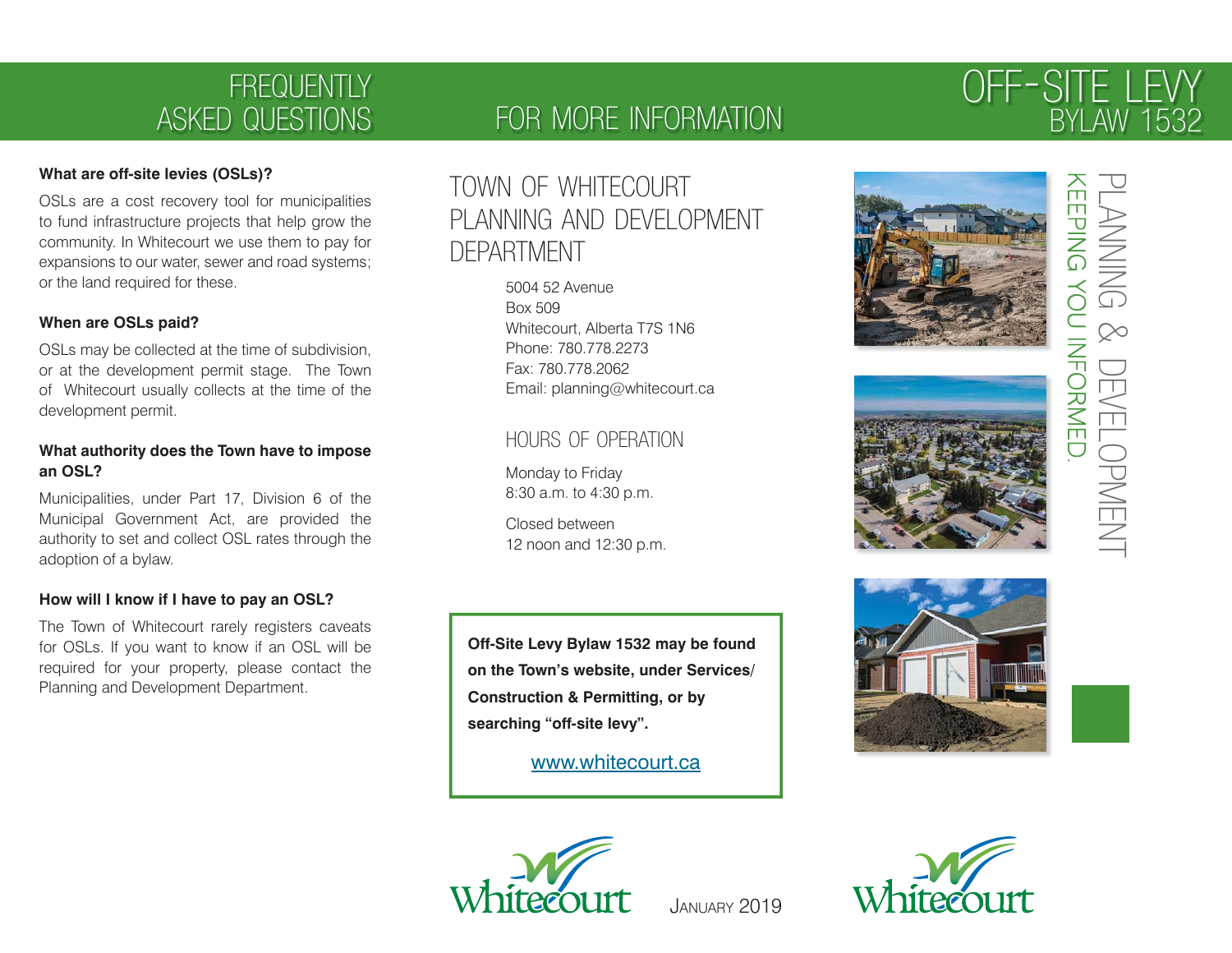# **FREQUENTLY** ASKED QUESTIONS

### **What are off-site levies (OSLs)?**

OSLs are a cost recovery tool for municipalities to fund infrastructure projects that help grow the community. In Whitecourt we use them to pay for expansions to our water, sewer and road systems; or the land required for these.

#### **When are OSLs paid?**

OSLs may be collected at the time of subdivision, or at the development permit stage. The Town of Whitecourt usually collects at the time of the development permit.

#### **What authority does the Town have to impose an OSL?**

Municipalities, under Part 17, Division 6 of the Municipal Government Act, are provided the authority to set and collect OSL rates through the adoption of a bylaw.

#### **How will I know if I have to pay an OSL?**

The Town of Whitecourt rarely registers caveats for OSLs. If you want to know if an OSL will be required for your property, please contact the Planning and Development Department.

### FOR MORE INFORMATION

# TOWN OF WHITECOURT PLANNING AND DEVELOPMENT DEPARTMENT

 5004 52 Avenue Box 509 Whitecourt, Alberta T7S 1N6 Phone: 780.778.2273 Fax: 780.778.2062Email: planning@whitecourt.ca

### HOURS OF OPERATION

 Monday to Friday 8:30 a.m. to 4:30 p.m.

 Closed between12 noon and 12:30 p.m.

**Off-Site Levy Bylaw 1532 may be found on the Town's website, under Services/ Construction & Permitting, or by searching "off-site levy".**

www.whitecourt.ca